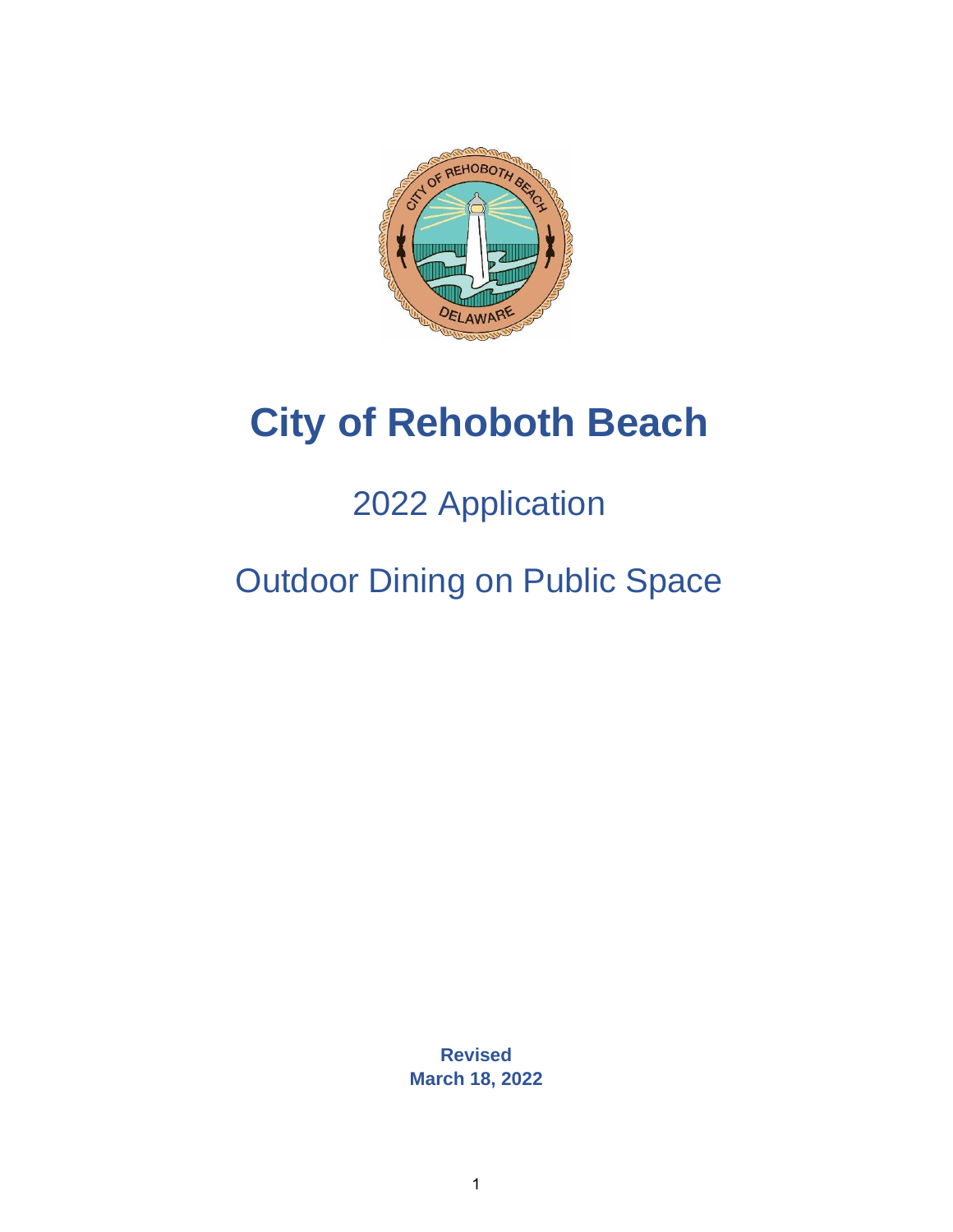

# **City of Rehoboth Beach**

## 2022 Application

## Outdoor Dining on Public Space

**Revised March 18, 2022**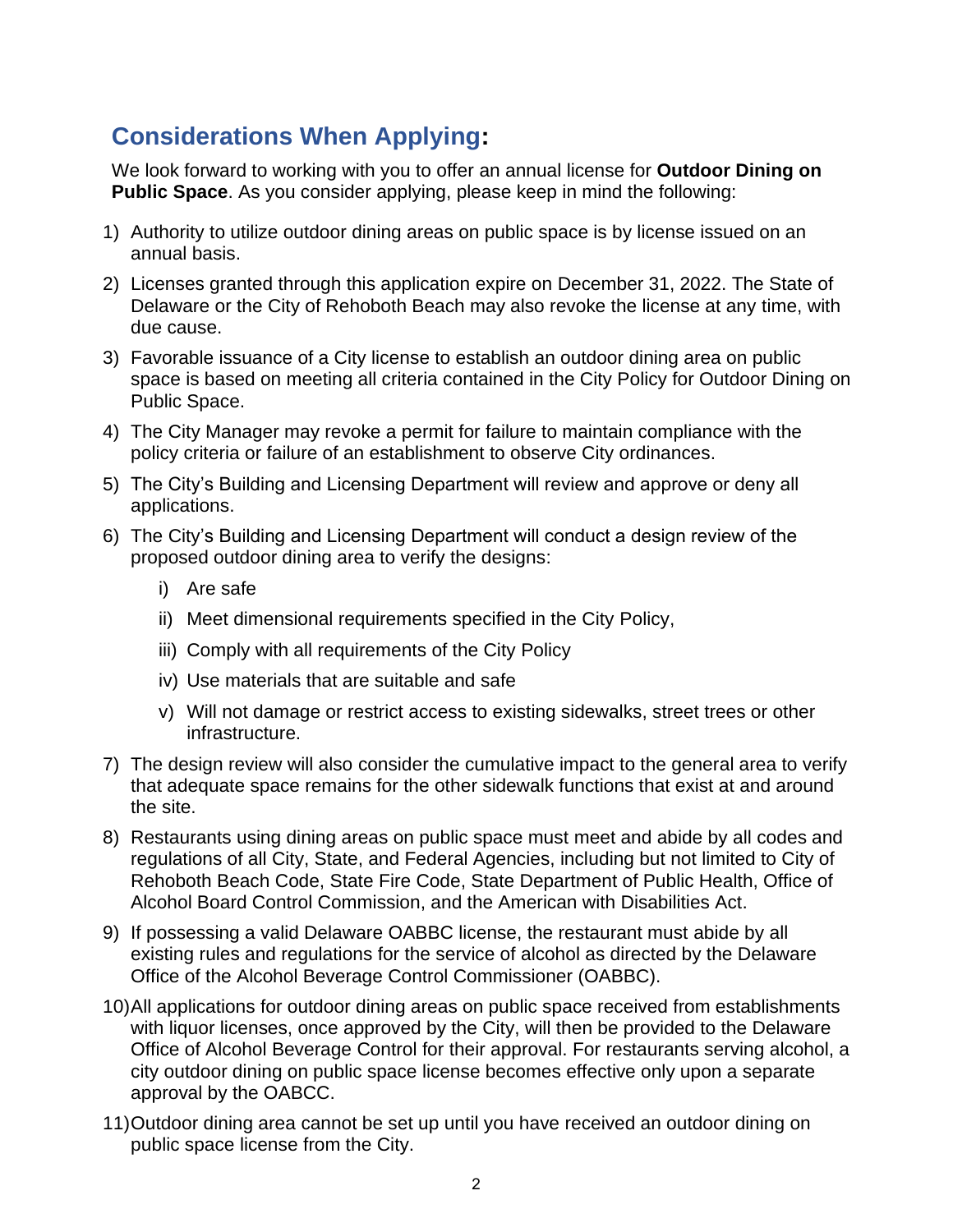### **Considerations When Applying:**

We look forward to working with you to offer an annual license for **Outdoor Dining on Public Space**. As you consider applying, please keep in mind the following:

- 1) Authority to utilize outdoor dining areas on public space is by license issued on an annual basis.
- 2) Licenses granted through this application expire on December 31, 2022. The State of Delaware or the City of Rehoboth Beach may also revoke the license at any time, with due cause.
- 3) Favorable issuance of a City license to establish an outdoor dining area on public space is based on meeting all criteria contained in the City Policy for Outdoor Dining on Public Space.
- 4) The City Manager may revoke a permit for failure to maintain compliance with the policy criteria or failure of an establishment to observe City ordinances.
- 5) The City's Building and Licensing Department will review and approve or deny all applications.
- 6) The City's Building and Licensing Department will conduct a design review of the proposed outdoor dining area to verify the designs:
	- i) Are safe
	- ii) Meet dimensional requirements specified in the City Policy,
	- iii) Comply with all requirements of the City Policy
	- iv) Use materials that are suitable and safe
	- v) Will not damage or restrict access to existing sidewalks, street trees or other infrastructure.
- 7) The design review will also consider the cumulative impact to the general area to verify that adequate space remains for the other sidewalk functions that exist at and around the site.
- 8) Restaurants using dining areas on public space must meet and abide by all codes and regulations of all City, State, and Federal Agencies, including but not limited to City of Rehoboth Beach Code, State Fire Code, State Department of Public Health, Office of Alcohol Board Control Commission, and the American with Disabilities Act.
- 9) If possessing a valid Delaware OABBC license, the restaurant must abide by all existing rules and regulations for the service of alcohol as directed by the Delaware Office of the Alcohol Beverage Control Commissioner (OABBC).
- 10)All applications for outdoor dining areas on public space received from establishments with liquor licenses, once approved by the City, will then be provided to the Delaware Office of Alcohol Beverage Control for their approval. For restaurants serving alcohol, a city outdoor dining on public space license becomes effective only upon a separate approval by the OABCC.
- 11)Outdoor dining area cannot be set up until you have received an outdoor dining on public space license from the City.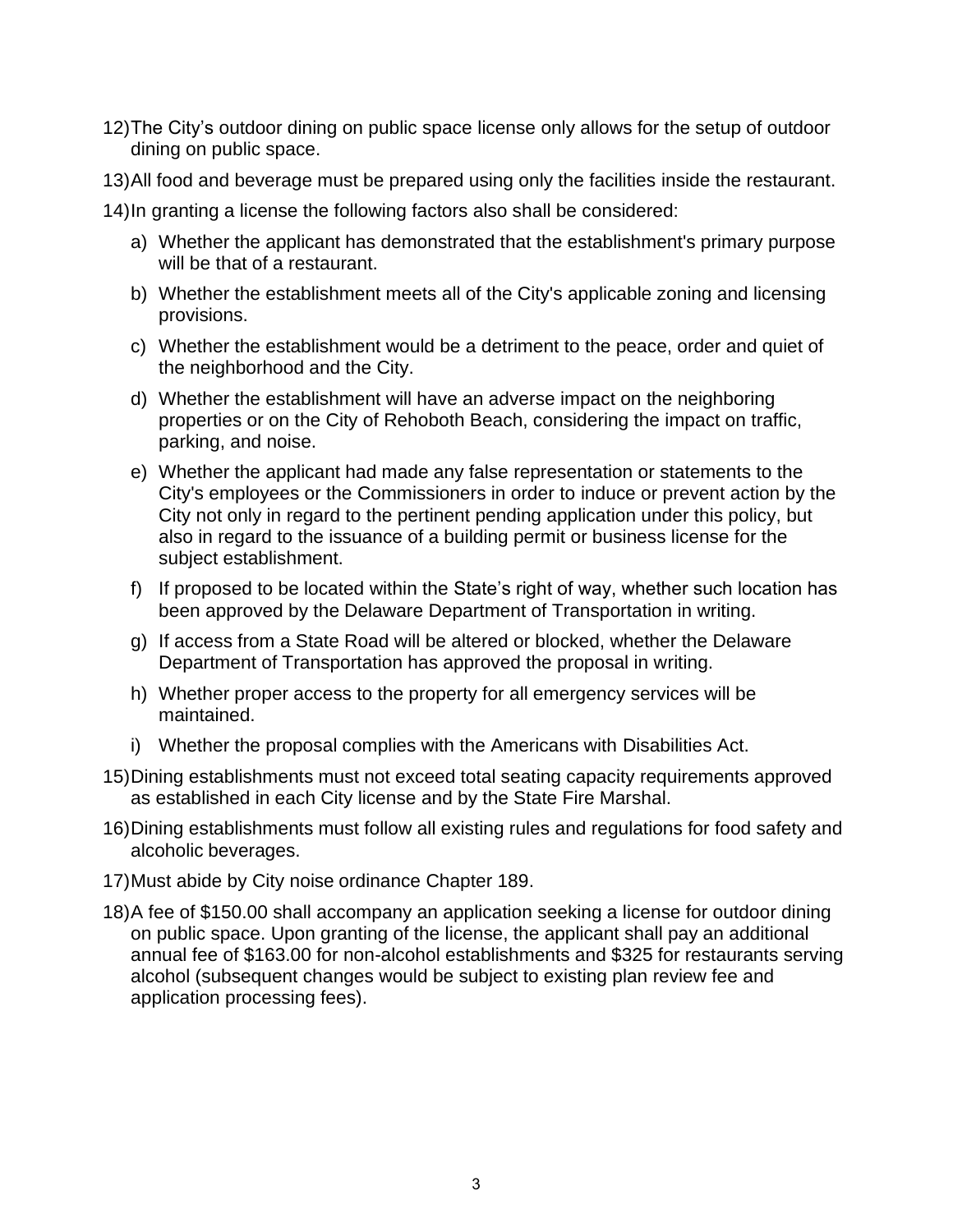- 12)The City's outdoor dining on public space license only allows for the setup of outdoor dining on public space.
- 13)All food and beverage must be prepared using only the facilities inside the restaurant.
- 14)In granting a license the following factors also shall be considered:
	- a) Whether the applicant has demonstrated that the establishment's primary purpose will be that of a restaurant.
	- b) Whether the establishment meets all of the City's applicable zoning and licensing provisions.
	- c) Whether the establishment would be a detriment to the peace, order and quiet of the neighborhood and the City.
	- d) Whether the establishment will have an adverse impact on the neighboring properties or on the City of Rehoboth Beach, considering the impact on traffic, parking, and noise.
	- e) Whether the applicant had made any false representation or statements to the City's employees or the Commissioners in order to induce or prevent action by the City not only in regard to the pertinent pending application under this policy, but also in regard to the issuance of a building permit or business license for the subject establishment.
	- f) If proposed to be located within the State's right of way, whether such location has been approved by the Delaware Department of Transportation in writing.
	- g) If access from a State Road will be altered or blocked, whether the Delaware Department of Transportation has approved the proposal in writing.
	- h) Whether proper access to the property for all emergency services will be maintained.
	- i) Whether the proposal complies with the Americans with Disabilities Act.
- 15)Dining establishments must not exceed total seating capacity requirements approved as established in each City license and by the State Fire Marshal.
- 16)Dining establishments must follow all existing rules and regulations for food safety and alcoholic beverages.
- 17)Must abide by City noise ordinance Chapter 189.
- 18)A fee of \$150.00 shall accompany an application seeking a license for outdoor dining on public space. Upon granting of the license, the applicant shall pay an additional annual fee of \$163.00 for non-alcohol establishments and \$325 for restaurants serving alcohol (subsequent changes would be subject to existing plan review fee and application processing fees).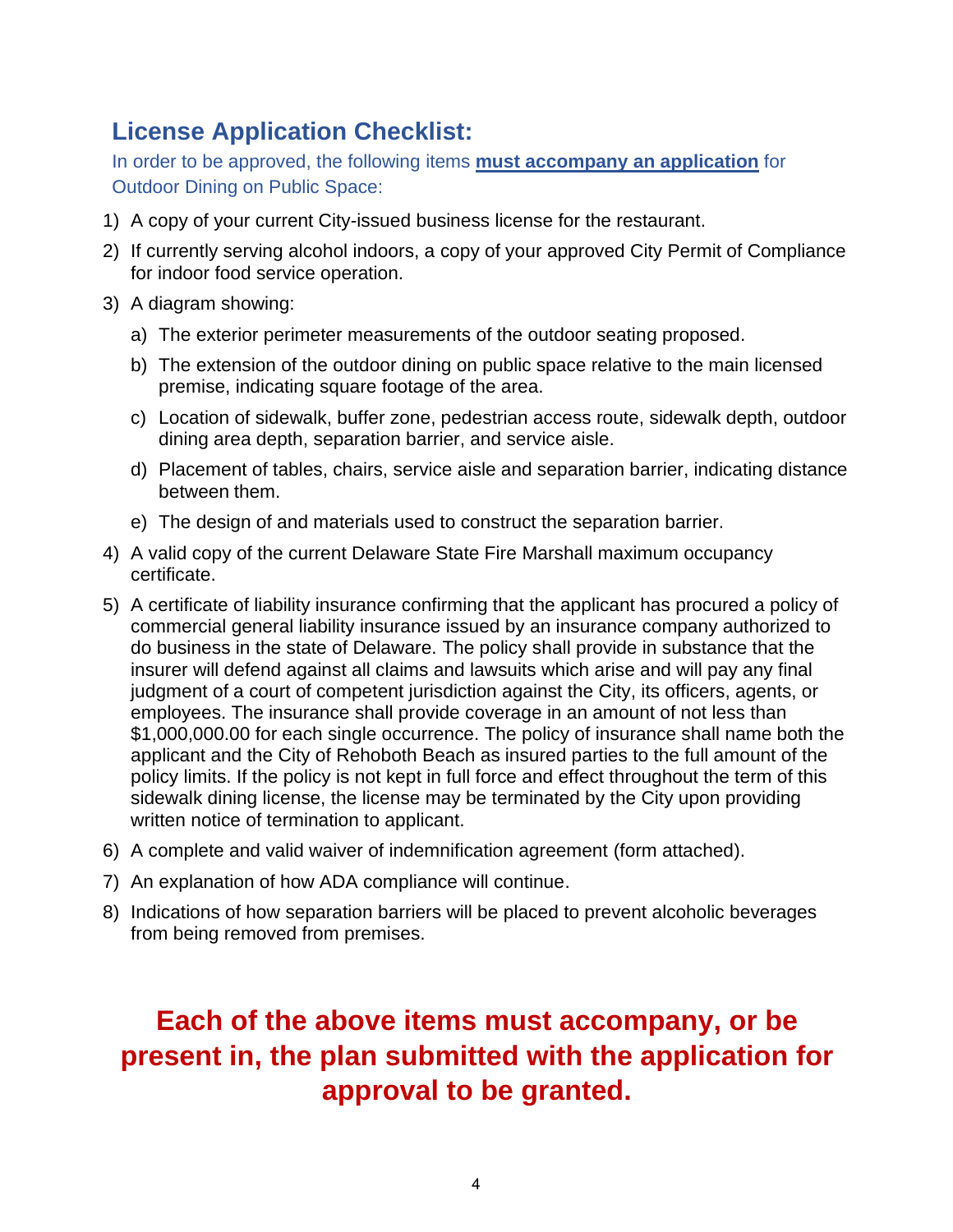### **License Application Checklist:**

In order to be approved, the following items **must accompany an application** for Outdoor Dining on Public Space:

- 1) A copy of your current City-issued business license for the restaurant.
- 2) If currently serving alcohol indoors, a copy of your approved City Permit of Compliance for indoor food service operation.
- 3) A diagram showing:
	- a) The exterior perimeter measurements of the outdoor seating proposed.
	- b) The extension of the outdoor dining on public space relative to the main licensed premise, indicating square footage of the area.
	- c) Location of sidewalk, buffer zone, pedestrian access route, sidewalk depth, outdoor dining area depth, separation barrier, and service aisle.
	- d) Placement of tables, chairs, service aisle and separation barrier, indicating distance between them.
	- e) The design of and materials used to construct the separation barrier.
- 4) A valid copy of the current Delaware State Fire Marshall maximum occupancy certificate.
- 5) A certificate of liability insurance confirming that the applicant has procured a policy of commercial general liability insurance issued by an insurance company authorized to do business in the state of Delaware. The policy shall provide in substance that the insurer will defend against all claims and lawsuits which arise and will pay any final judament of a court of competent jurisdiction against the City, its officers, agents, or employees. The insurance shall provide coverage in an amount of not less than \$1,000,000.00 for each single occurrence. The policy of insurance shall name both the applicant and the City of Rehoboth Beach as insured parties to the full amount of the policy limits. If the policy is not kept in full force and effect throughout the term of this sidewalk dining license, the license may be terminated by the City upon providing written notice of termination to applicant.
- 6) A complete and valid waiver of indemnification agreement (form attached).
- 7) An explanation of how ADA compliance will continue.
- 8) Indications of how separation barriers will be placed to prevent alcoholic beverages from being removed from premises.

### **Each of the above items must accompany, or be present in, the plan submitted with the application for approval to be granted.**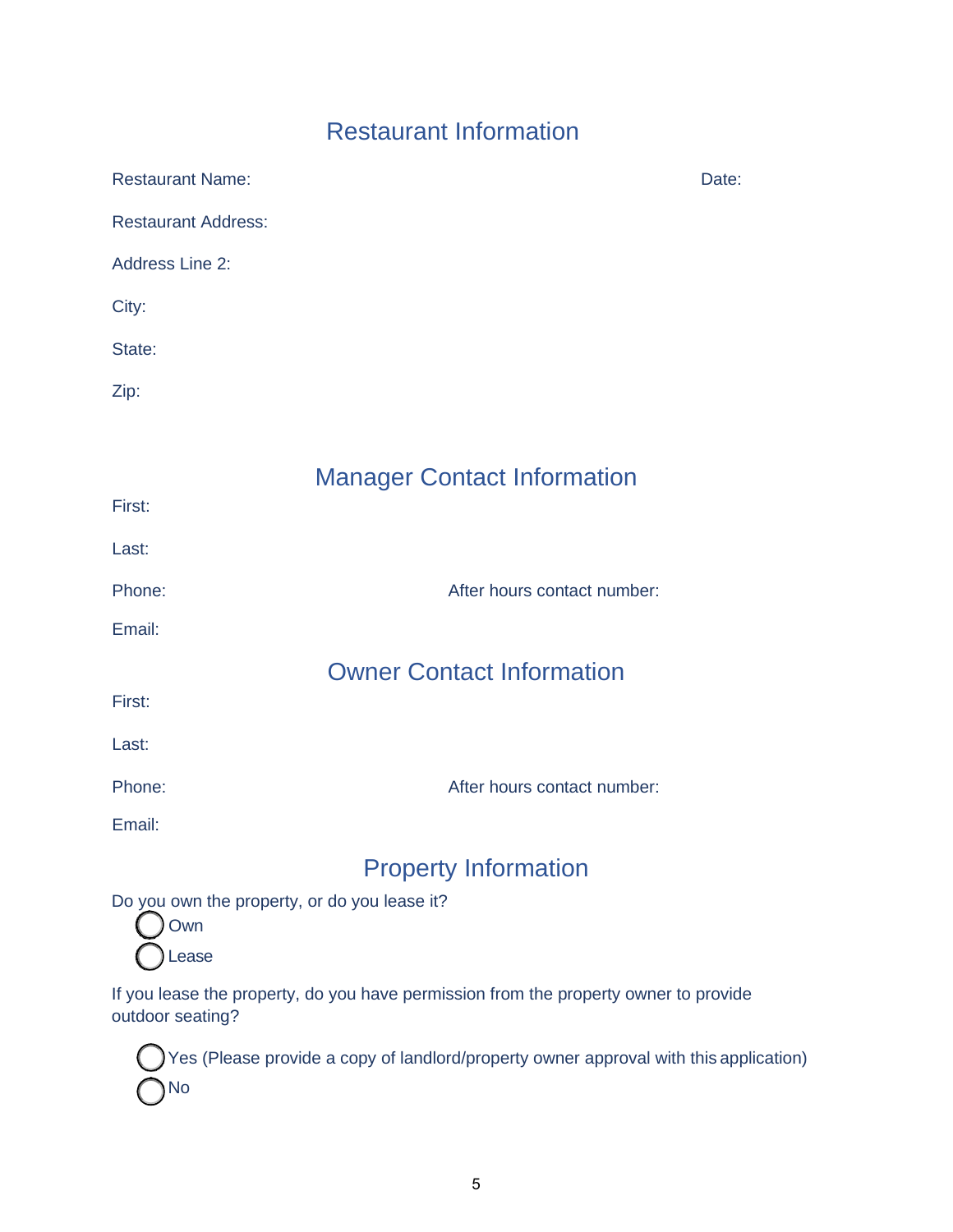#### Restaurant Information

| <b>Restaurant Name:</b>                      |                                    | Date: |
|----------------------------------------------|------------------------------------|-------|
| <b>Restaurant Address:</b>                   |                                    |       |
| <b>Address Line 2:</b>                       |                                    |       |
| City:                                        |                                    |       |
| State:                                       |                                    |       |
| Zip:                                         |                                    |       |
|                                              |                                    |       |
|                                              | <b>Manager Contact Information</b> |       |
| First:                                       |                                    |       |
| Last:                                        |                                    |       |
| Phone:                                       | After hours contact number:        |       |
| Email:                                       |                                    |       |
|                                              | <b>Owner Contact Information</b>   |       |
| First:                                       |                                    |       |
| Last:                                        |                                    |       |
| Phone:                                       | After hours contact number:        |       |
| Email:                                       |                                    |       |
|                                              | <b>Property Information</b>        |       |
| Do you own the property, or do you lease it? |                                    |       |
| Own                                          |                                    |       |
| Lease                                        |                                    |       |

If you lease the property, do you have permission from the property owner to provide outdoor seating?

Yes (Please provide a copy of landlord/property owner approval with this application) No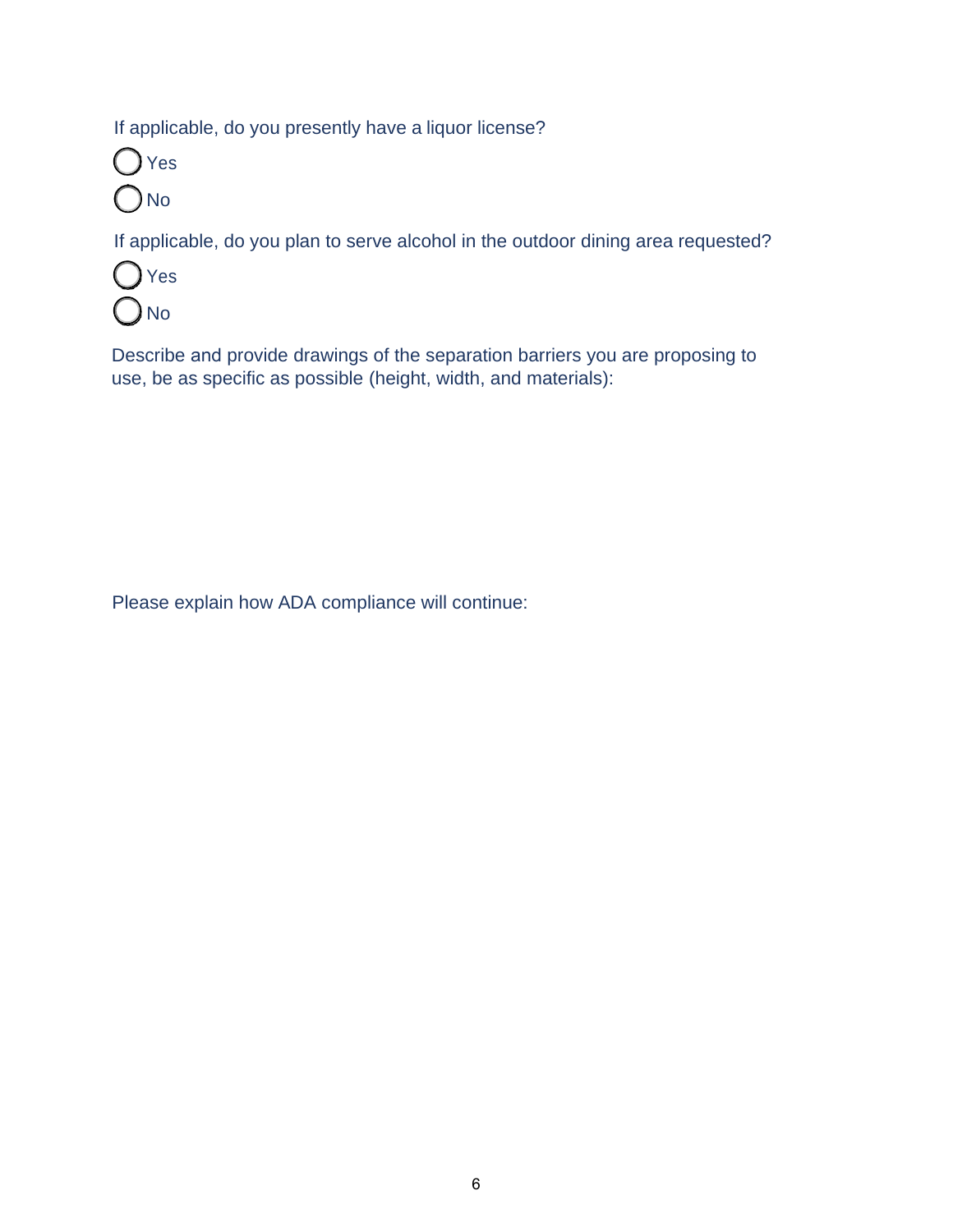If applicable, do you presently have a liquor license?

Yes No

If applicable, do you plan to serve alcohol in the outdoor dining area requested?



Describe and provide drawings of the separation barriers you are proposing to use, be as specific as possible (height, width, and materials):

Please explain how ADA compliance will continue: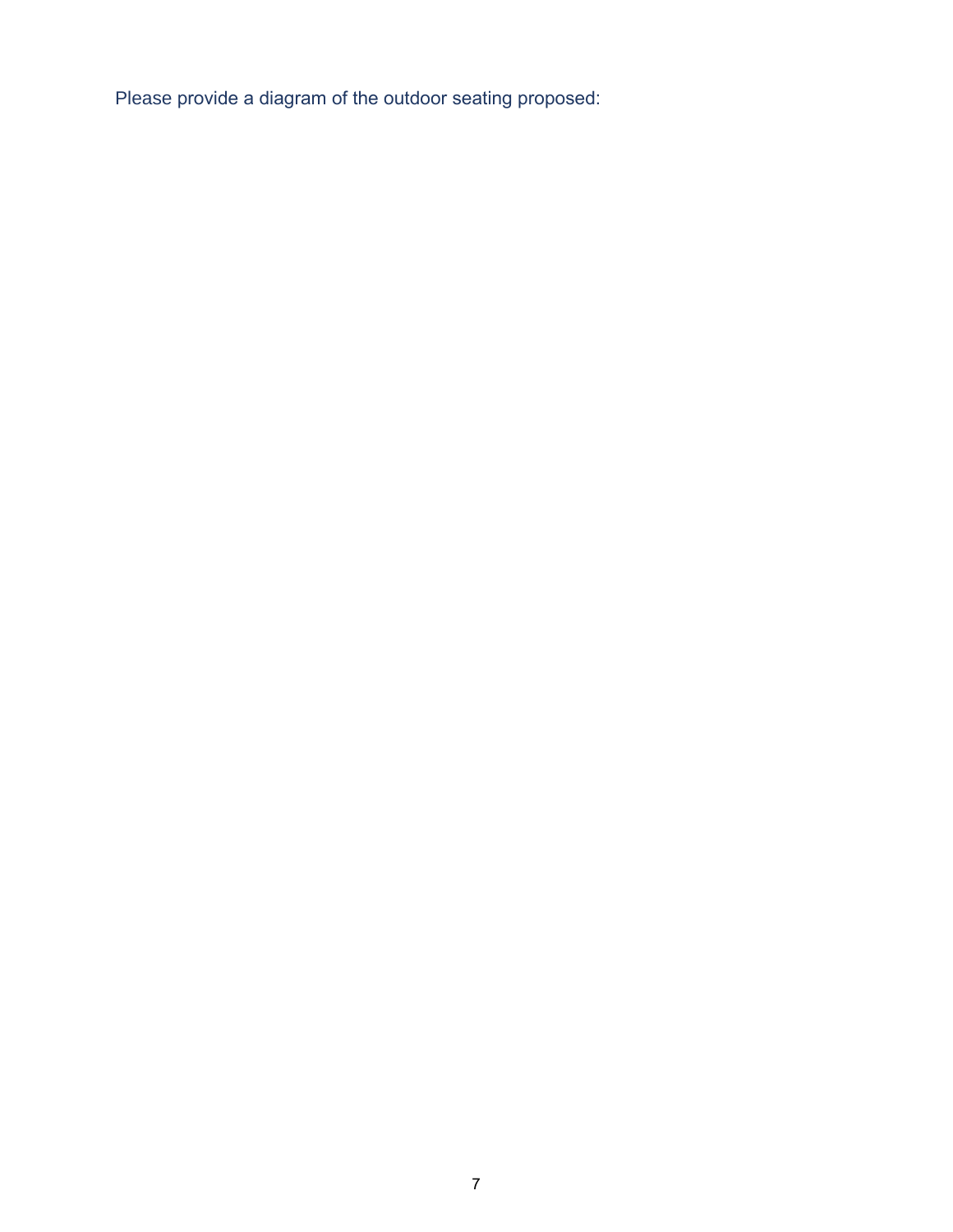Please provide a diagram of the outdoor seating proposed: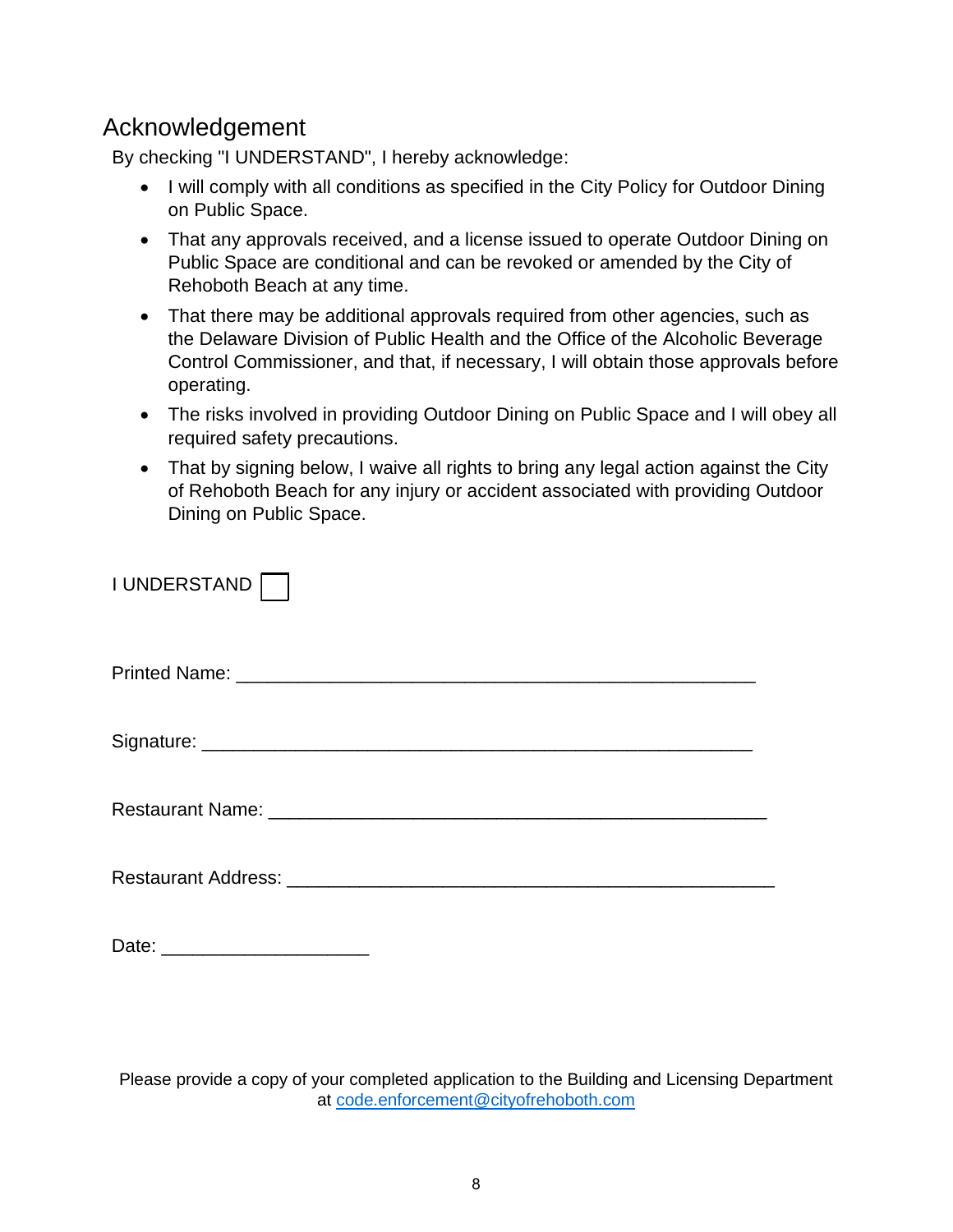#### Acknowledgement

By checking "I UNDERSTAND", I hereby acknowledge:

- I will comply with all conditions as specified in the City Policy for Outdoor Dining on Public Space.
- That any approvals received, and a license issued to operate Outdoor Dining on Public Space are conditional and can be revoked or amended by the City of Rehoboth Beach at any time.
- That there may be additional approvals required from other agencies, such as the Delaware Division of Public Health and the Office of the Alcoholic Beverage Control Commissioner, and that, if necessary, I will obtain those approvals before operating.
- The risks involved in providing Outdoor Dining on Public Space and I will obey all required safety precautions.
- That by signing below, I waive all rights to bring any legal action against the City of Rehoboth Beach for any injury or accident associated with providing Outdoor Dining on Public Space.

| I UNDERSTAND |
|--------------|
|              |
|              |
|              |
|              |
|              |

| Date: |  |
|-------|--|
|       |  |

Please provide a copy of your completed application to the Building and Licensing Department at [code.enforcement@cityofrehoboth.com](about:blank)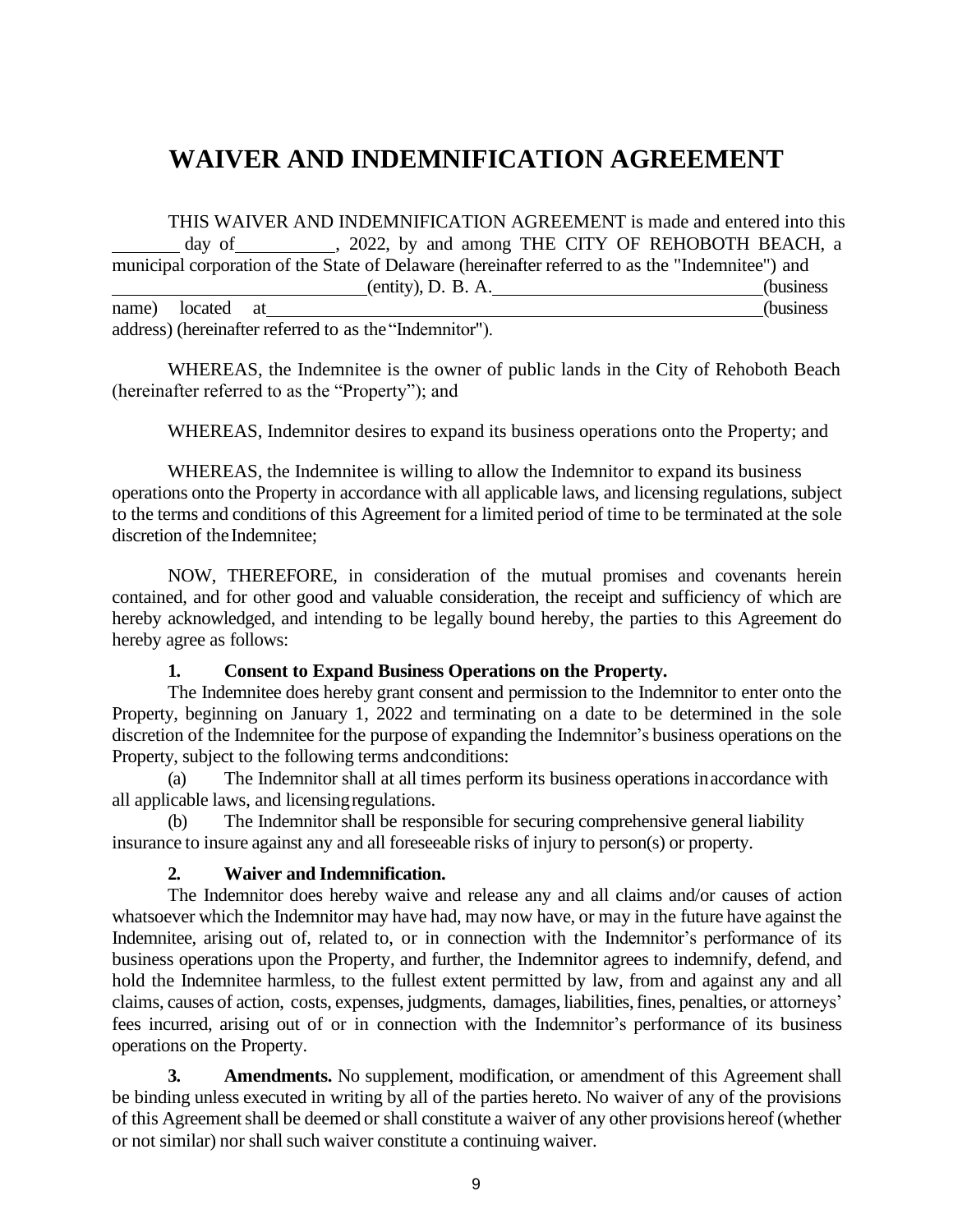#### **WAIVER AND INDEMNIFICATION AGREEMENT**

THIS WAIVER AND INDEMNIFICATION AGREEMENT is made and entered into this day of , 2022, by and among THE CITY OF REHOBOTH BEACH, a municipal corporation of the State of Delaware (hereinafter referred to as the "Indemnitee") and (entity), D. B. A. (business name) located at (business address) (hereinafter referred to as the"Indemnitor").

WHEREAS, the Indemnitee is the owner of public lands in the City of Rehoboth Beach (hereinafter referred to as the "Property"); and

WHEREAS, Indemnitor desires to expand its business operations onto the Property; and

WHEREAS, the Indemnitee is willing to allow the Indemnitor to expand its business operations onto the Property in accordance with all applicable laws, and licensing regulations, subject to the terms and conditions of this Agreement for a limited period of time to be terminated at the sole discretion of the Indemnitee:

NOW, THEREFORE, in consideration of the mutual promises and covenants herein contained, and for other good and valuable consideration, the receipt and sufficiency of which are hereby acknowledged, and intending to be legally bound hereby, the parties to this Agreement do hereby agree as follows:

#### **1. Consent to Expand Business Operations on the Property.**

The Indemnitee does hereby grant consent and permission to the Indemnitor to enter onto the Property, beginning on January 1, 2022 and terminating on a date to be determined in the sole discretion of the Indemnitee for the purpose of expanding the Indemnitor's business operations on the Property, subject to the following terms andconditions:

(a) The Indemnitor shall at all times perform its business operations inaccordance with all applicable laws, and licensingregulations.

(b) The Indemnitor shall be responsible for securing comprehensive general liability insurance to insure against any and all foreseeable risks of injury to person(s) or property.

#### **2. Waiver and Indemnification.**

The Indemnitor does hereby waive and release any and all claims and/or causes of action whatsoever which the Indemnitor may have had, may now have, or may in the future have against the Indemnitee, arising out of, related to, or in connection with the Indemnitor's performance of its business operations upon the Property, and further, the Indemnitor agrees to indemnify, defend, and hold the Indemnitee harmless, to the fullest extent permitted by law, from and against any and all claims, causes of action, costs, expenses, judgments, damages, liabilities, fines, penalties, or attorneys' fees incurred, arising out of or in connection with the Indemnitor's performance of its business operations on the Property.

**3. Amendments.** No supplement, modification, or amendment of this Agreement shall be binding unless executed in writing by all of the parties hereto. No waiver of any of the provisions of this Agreementshall be deemed or shall constitute a waiver of any other provisions hereof (whether or not similar) nor shall such waiver constitute a continuing waiver.